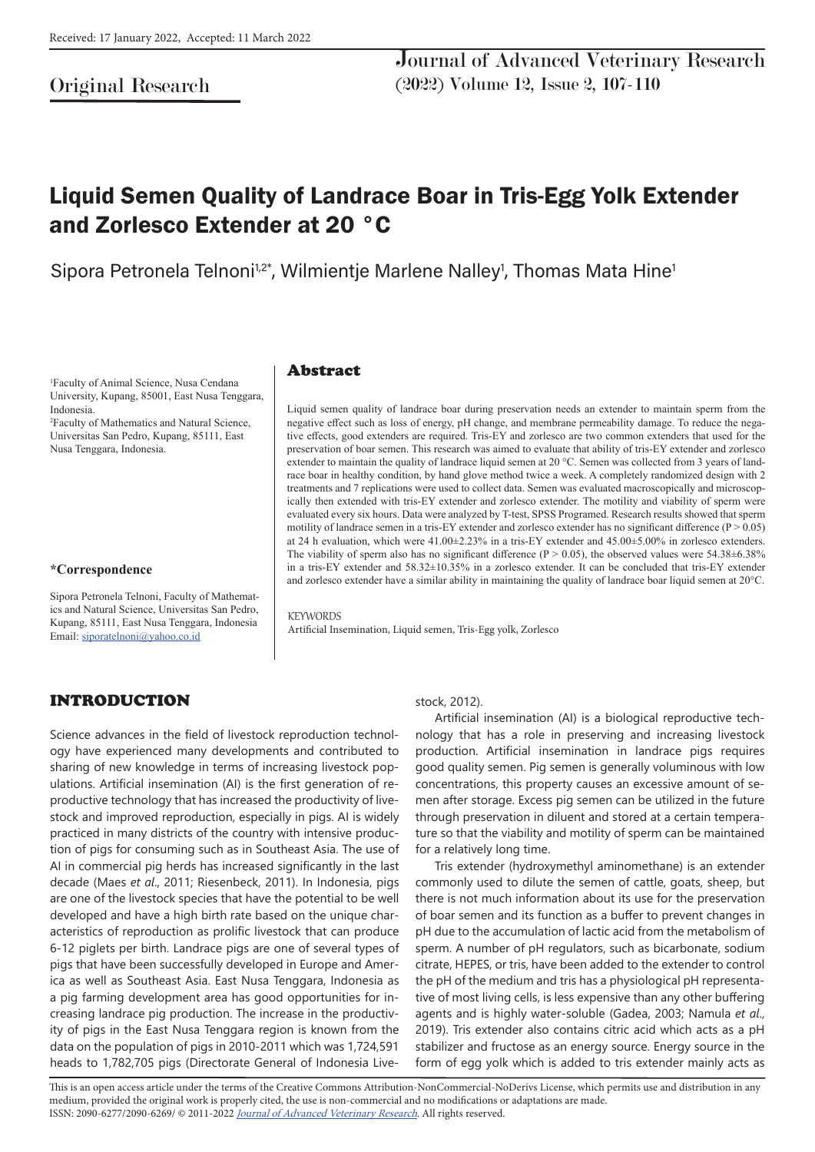# Original Research

Journal of Advanced Veterinary Research (2022) Volume 12, Issue 2, 107-110

# Liquid Semen Quality of Landrace Boar in Tris-Egg Yolk Extender and Zorlesco Extender at 20 °C

Sipora Petronela Telnoni<sup>1,2\*</sup>, Wilmientje Marlene Nalley<sup>1</sup>, Thomas Mata Hine<sup>1</sup>

1 Faculty of Animal Science, Nusa Cendana University, Kupang, 85001, East Nusa Tenggara, Indonesia.

2 Faculty of Mathematics and Natural Science, Universitas San Pedro, Kupang, 85111, East Nusa Tenggara, Indonesia.

#### **\*Correspondence**

Sipora Petronela Telnoni, Faculty of Mathematics and Natural Science, Universitas San Pedro, Kupang, 85111, East Nusa Tenggara, Indonesia Email: siporatelnoni@yahoo.co.id

#### Abstract

Liquid semen quality of landrace boar during preservation needs an extender to maintain sperm from the negative effect such as loss of energy, pH change, and membrane permeability damage. To reduce the negative effects, good extenders are required. Tris-EY and zorlesco are two common extenders that used for the preservation of boar semen. This research was aimed to evaluate that ability of tris-EY extender and zorlesco extender to maintain the quality of landrace liquid semen at 20 °C. Semen was collected from 3 years of landrace boar in healthy condition, by hand glove method twice a week. A completely randomized design with 2 treatments and 7 replications were used to collect data. Semen was evaluated macroscopically and microscopically then extended with tris-EY extender and zorlesco extender. The motility and viability of sperm were evaluated every six hours. Data were analyzed by T-test, SPSS Programed. Research results showed that sperm motility of landrace semen in a tris-EY extender and zorlesco extender has no significant difference  $(P > 0.05)$ at 24 h evaluation, which were 41.00±2.23% in a tris-EY extender and 45.00±5.00% in zorlesco extenders. The viability of sperm also has no significant difference ( $P > 0.05$ ), the observed values were 54.38 $\pm$ 6.38% in a tris-EY extender and 58.32±10.35% in a zorlesco extender. It can be concluded that tris-EY extender and zorlesco extender have a similar ability in maintaining the quality of landrace boar liquid semen at 20°C.

**KEYWORDS** Artificial Insemination, Liquid semen, Tris-Egg yolk, Zorlesco

### INTRODUCTION

Science advances in the field of livestock reproduction technology have experienced many developments and contributed to sharing of new knowledge in terms of increasing livestock populations. Artificial insemination (AI) is the first generation of reproductive technology that has increased the productivity of livestock and improved reproduction, especially in pigs. AI is widely practiced in many districts of the country with intensive production of pigs for consuming such as in Southeast Asia. The use of AI in commercial pig herds has increased significantly in the last decade (Maes *et al*., 2011; Riesenbeck, 2011). In Indonesia, pigs are one of the livestock species that have the potential to be well developed and have a high birth rate based on the unique characteristics of reproduction as prolific livestock that can produce 6-12 piglets per birth. Landrace pigs are one of several types of pigs that have been successfully developed in Europe and America as well as Southeast Asia. East Nusa Tenggara, Indonesia as a pig farming development area has good opportunities for increasing landrace pig production. The increase in the productivity of pigs in the East Nusa Tenggara region is known from the data on the population of pigs in 2010-2011 which was 1,724,591 heads to 1,782,705 pigs (Directorate General of Indonesia Live-

#### stock, 2012).

Artificial insemination (AI) is a biological reproductive technology that has a role in preserving and increasing livestock production. Artificial insemination in landrace pigs requires good quality semen. Pig semen is generally voluminous with low concentrations, this property causes an excessive amount of semen after storage. Excess pig semen can be utilized in the future through preservation in diluent and stored at a certain temperature so that the viability and motility of sperm can be maintained for a relatively long time.

Tris extender (hydroxymethyl aminomethane) is an extender commonly used to dilute the semen of cattle, goats, sheep, but there is not much information about its use for the preservation of boar semen and its function as a buffer to prevent changes in pH due to the accumulation of lactic acid from the metabolism of sperm. A number of pH regulators, such as bicarbonate, sodium citrate, HEPES, or tris, have been added to the extender to control the pH of the medium and tris has a physiological pH representative of most living cells, is less expensive than any other buffering agents and is highly water-soluble (Gadea, 2003; Namula *et al*., 2019). Tris extender also contains citric acid which acts as a pH stabilizer and fructose as an energy source. Energy source in the form of egg yolk which is added to tris extender mainly acts as

This is an open access article under the terms of the Creative Commons Attribution-NonCommercial-NoDerivs License, which permits use and distribution in any medium, provided the original work is properly cited, the use is non-commercial and no modifications or adaptations are made. ISSN: 2090-6277/2090-6269/ © 2011-2022 Journal of Advanced Veterinary Research. All rights reserved.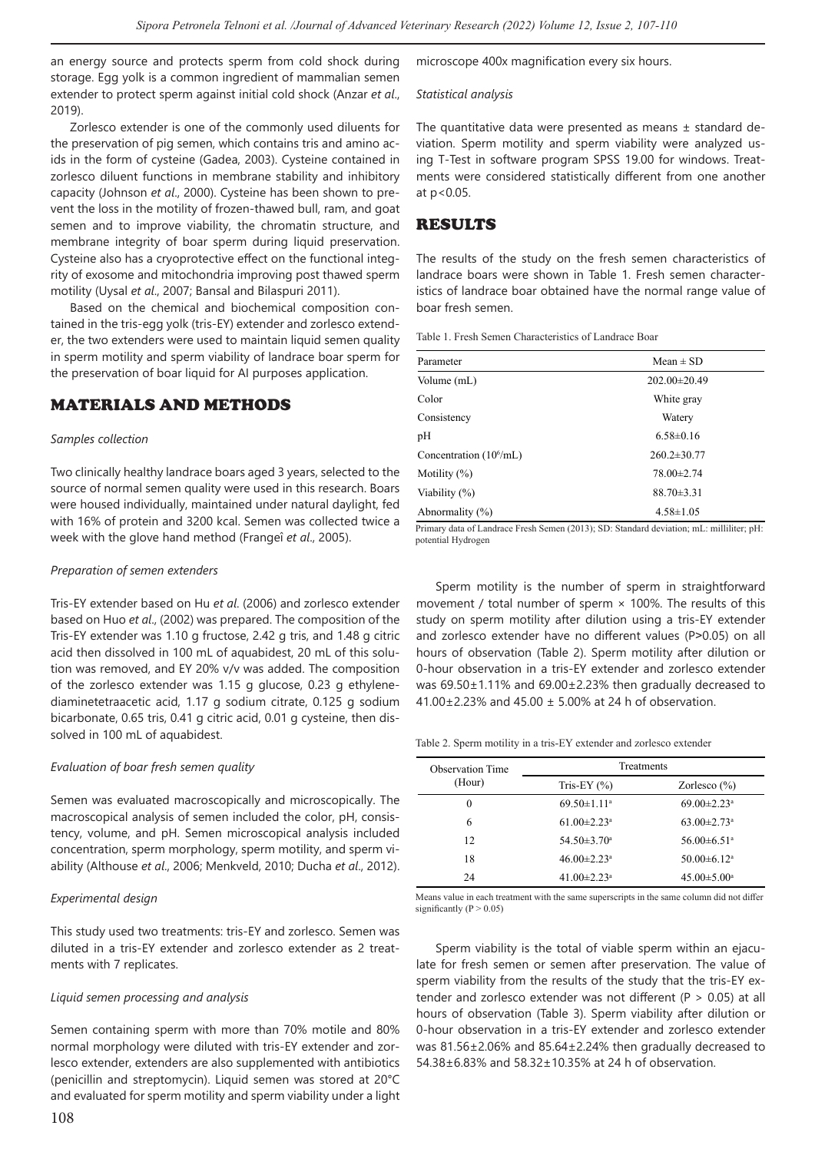an energy source and protects sperm from cold shock during storage. Egg yolk is a common ingredient of mammalian semen extender to protect sperm against initial cold shock (Anzar *et al*., 2019).

Zorlesco extender is one of the commonly used diluents for the preservation of pig semen, which contains tris and amino acids in the form of cysteine (Gadea, 2003). Cysteine contained in zorlesco diluent functions in membrane stability and inhibitory capacity (Johnson *et al*., 2000). Cysteine has been shown to prevent the loss in the motility of frozen-thawed bull, ram, and goat semen and to improve viability, the chromatin structure, and membrane integrity of boar sperm during liquid preservation. Cysteine also has a cryoprotective effect on the functional integrity of exosome and mitochondria improving post thawed sperm motility (Uysal *et al*., 2007; Bansal and Bilaspuri 2011).

Based on the chemical and biochemical composition contained in the tris-egg yolk (tris-EY) extender and zorlesco extender, the two extenders were used to maintain liquid semen quality in sperm motility and sperm viability of landrace boar sperm for the preservation of boar liquid for AI purposes application.

### MATERIALS AND METHODS

#### *Samples collection*

Two clinically healthy landrace boars aged 3 years, selected to the source of normal semen quality were used in this research. Boars were housed individually, maintained under natural daylight, fed with 16% of protein and 3200 kcal. Semen was collected twice a week with the glove hand method (Frangeî *et al*., 2005).

#### *Preparation of semen extenders*

Tris-EY extender based on Hu *et al*. (2006) and zorlesco extender based on Huo *et al*., (2002) was prepared. The composition of the Tris-EY extender was 1.10 g fructose, 2.42 g tris, and 1.48 g citric acid then dissolved in 100 mL of aquabidest, 20 mL of this solution was removed, and EY 20% v/v was added. The composition of the zorlesco extender was 1.15 g glucose, 0.23 g ethylenediaminetetraacetic acid, 1.17 g sodium citrate, 0.125 g sodium bicarbonate, 0.65 tris, 0.41 g citric acid, 0.01 g cysteine, then dissolved in 100 mL of aquabidest.

#### *Evaluation of boar fresh semen quality*

Semen was evaluated macroscopically and microscopically. The macroscopical analysis of semen included the color, pH, consistency, volume, and pH. Semen microscopical analysis included concentration, sperm morphology, sperm motility, and sperm viability (Althouse *et al*., 2006; Menkveld, 2010; Ducha *et al*., 2012).

#### *Experimental design*

This study used two treatments: tris-EY and zorlesco. Semen was diluted in a tris-EY extender and zorlesco extender as 2 treatments with 7 replicates.

#### *Liquid semen processing and analysis*

Semen containing sperm with more than 70% motile and 80% normal morphology were diluted with tris-EY extender and zorlesco extender, extenders are also supplemented with antibiotics (penicillin and streptomycin). Liquid semen was stored at 20°C and evaluated for sperm motility and sperm viability under a light microscope 400x magnification every six hours.

#### *Statistical analysis*

The quantitative data were presented as means  $\pm$  standard deviation. Sperm motility and sperm viability were analyzed using T-Test in software program SPSS 19.00 for windows. Treatments were considered statistically different from one another at p<0.05.

### RESULTS

The results of the study on the fresh semen characteristics of landrace boars were shown in Table 1. Fresh semen characteristics of landrace boar obtained have the normal range value of boar fresh semen.

Table 1. Fresh Semen Characteristics of Landrace Boar

| Parameter                  | Mean $\pm$ SD      |
|----------------------------|--------------------|
| Volume (mL)                | $202.00 \pm 20.49$ |
| Color                      | White gray         |
| Consistency                | Watery             |
| pH                         | $6.58 \pm 0.16$    |
| Concentration $(10^6$ /mL) | $260.2 \pm 30.77$  |
| Motility $(\%)$            | 78.00±2.74         |
| Viability (%)              | $88.70 \pm 3.31$   |
| Abnormality $(\% )$        | $4.58 \pm 1.05$    |

Primary data of Landrace Fresh Semen (2013); SD: Standard deviation; mL: milliliter; pH: potential Hydrogen

Sperm motility is the number of sperm in straightforward movement / total number of sperm  $\times$  100%. The results of this study on sperm motility after dilution using a tris-EY extender and zorlesco extender have no different values (P>0.05) on all hours of observation (Table 2). Sperm motility after dilution or 0-hour observation in a tris-EY extender and zorlesco extender was 69.50±1.11% and 69.00±2.23% then gradually decreased to 41.00±2.23% and 45.00 ± 5.00% at 24 h of observation.

#### Table 2. Sperm motility in a tris-EY extender and zorlesco extender

| <b>Observation Time</b> | <b>Treatments</b>             |                               |
|-------------------------|-------------------------------|-------------------------------|
| (Hour)                  | Tris-EY $(%)$                 | Zorlesco $(\% )$              |
| $\theta$                | $69.50 \pm 1.11$ <sup>a</sup> | $69.00 \pm 2.23$ <sup>a</sup> |
| 6                       | $61.00 \pm 2.23$ <sup>a</sup> | $63.00 \pm 2.73$ <sup>a</sup> |
| 12                      | $54.50 \pm 3.70$ <sup>a</sup> | $56.00\pm 6.51$ <sup>a</sup>  |
| 18                      | $46.00 \pm 2.23$ <sup>a</sup> | $50.00 \pm 6.12$ <sup>a</sup> |
| 24                      | $41.00 \pm 2.23$ <sup>a</sup> | $45.00 \pm 5.00^{\mathrm{a}}$ |

Means value in each treatment with the same superscripts in the same column did not differ significantly ( $P > 0.05$ )

Sperm viability is the total of viable sperm within an ejaculate for fresh semen or semen after preservation. The value of sperm viability from the results of the study that the tris-EY extender and zorlesco extender was not different (P > 0.05) at all hours of observation (Table 3). Sperm viability after dilution or 0-hour observation in a tris-EY extender and zorlesco extender was 81.56±2.06% and 85.64±2.24% then gradually decreased to 54.38±6.83% and 58.32±10.35% at 24 h of observation.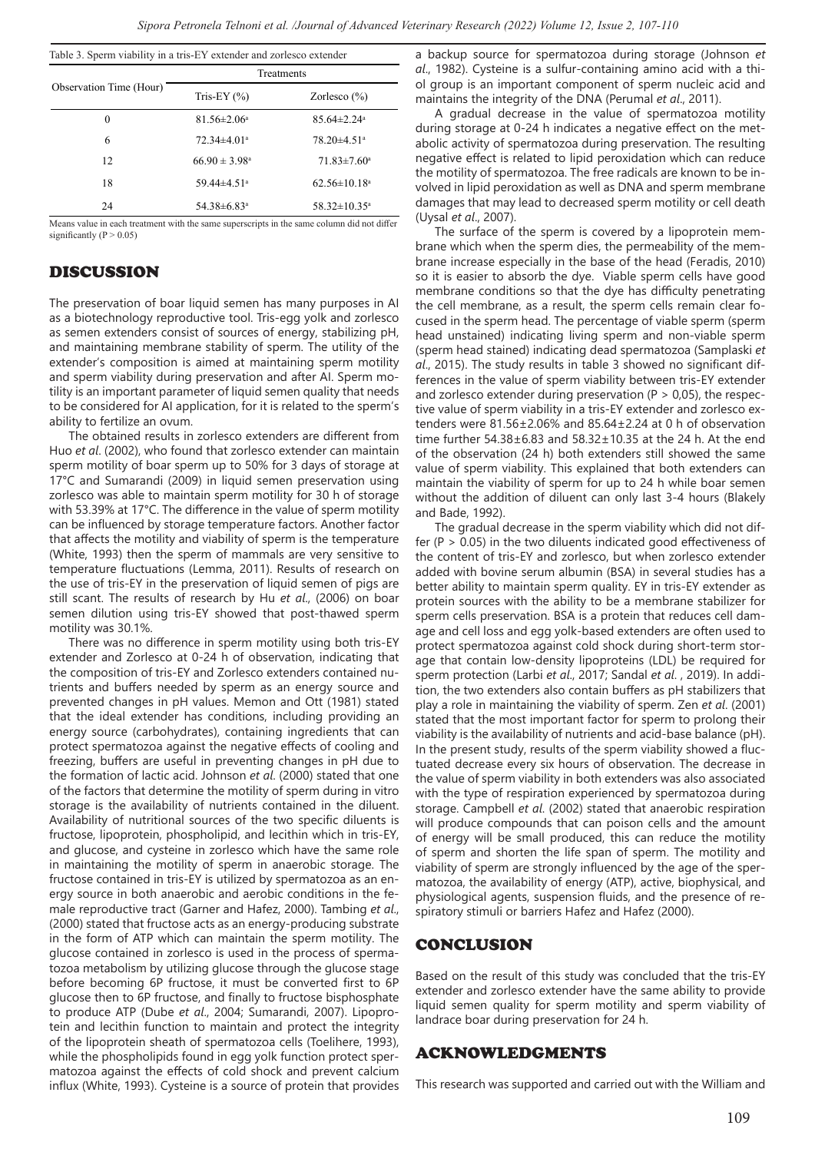| Observation Time (Hour) | Treatments                    |                                |  |
|-------------------------|-------------------------------|--------------------------------|--|
|                         | Tris-EY $(%)$                 | Zorlesco $(\%)$                |  |
| 0                       | $81.56 \pm 2.06^{\circ}$      | $85.64 \pm 2.24$ <sup>a</sup>  |  |
| 6                       | $72.34\pm4.01^a$              | $78.20 \pm 4.51$ <sup>a</sup>  |  |
| 12                      | $66.90 \pm 3.98$ <sup>a</sup> | $71.83 \pm 7.60^{\circ}$       |  |
| 18                      | $59.44 \pm 4.51$ <sup>a</sup> | $62.56 \pm 10.18$ <sup>a</sup> |  |
| 24                      | 54.38±6.83 <sup>a</sup>       | $58.32 \pm 10.35$ <sup>a</sup> |  |

Means value in each treatment with the same superscripts in the same column did not differ significantly ( $P > 0.05$ )

### DISCUSSION

The preservation of boar liquid semen has many purposes in AI as a biotechnology reproductive tool. Tris-egg yolk and zorlesco as semen extenders consist of sources of energy, stabilizing pH, and maintaining membrane stability of sperm. The utility of the extender's composition is aimed at maintaining sperm motility and sperm viability during preservation and after AI. Sperm motility is an important parameter of liquid semen quality that needs to be considered for AI application, for it is related to the sperm's ability to fertilize an ovum.

The obtained results in zorlesco extenders are different from Huo *et al*. (2002), who found that zorlesco extender can maintain sperm motility of boar sperm up to 50% for 3 days of storage at 17°C and Sumarandi (2009) in liquid semen preservation using zorlesco was able to maintain sperm motility for 30 h of storage with 53.39% at 17°C. The difference in the value of sperm motility can be influenced by storage temperature factors. Another factor that affects the motility and viability of sperm is the temperature (White, 1993) then the sperm of mammals are very sensitive to temperature fluctuations (Lemma, 2011). Results of research on the use of tris-EY in the preservation of liquid semen of pigs are still scant. The results of research by Hu *et al*., (2006) on boar semen dilution using tris-EY showed that post-thawed sperm motility was 30.1%.

There was no difference in sperm motility using both tris-EY extender and Zorlesco at 0-24 h of observation, indicating that the composition of tris-EY and Zorlesco extenders contained nutrients and buffers needed by sperm as an energy source and prevented changes in pH values. Memon and Ott (1981) stated that the ideal extender has conditions, including providing an energy source (carbohydrates), containing ingredients that can protect spermatozoa against the negative effects of cooling and freezing, buffers are useful in preventing changes in pH due to the formation of lactic acid. Johnson *et al*. (2000) stated that one of the factors that determine the motility of sperm during in vitro storage is the availability of nutrients contained in the diluent. Availability of nutritional sources of the two specific diluents is fructose, lipoprotein, phospholipid, and lecithin which in tris-EY, and glucose, and cysteine in zorlesco which have the same role in maintaining the motility of sperm in anaerobic storage. The fructose contained in tris-EY is utilized by spermatozoa as an energy source in both anaerobic and aerobic conditions in the female reproductive tract (Garner and Hafez, 2000). Tambing *et al*., (2000) stated that fructose acts as an energy-producing substrate in the form of ATP which can maintain the sperm motility. The glucose contained in zorlesco is used in the process of spermatozoa metabolism by utilizing glucose through the glucose stage before becoming 6P fructose, it must be converted first to 6P glucose then to 6P fructose, and finally to fructose bisphosphate to produce ATP (Dube *et al*., 2004; Sumarandi, 2007). Lipoprotein and lecithin function to maintain and protect the integrity of the lipoprotein sheath of spermatozoa cells (Toelihere, 1993), while the phospholipids found in egg yolk function protect spermatozoa against the effects of cold shock and prevent calcium influx (White, 1993). Cysteine is a source of protein that provides

a backup source for spermatozoa during storage (Johnson *et al*., 1982). Cysteine is a sulfur-containing amino acid with a thiol group is an important component of sperm nucleic acid and maintains the integrity of the DNA (Perumal *et al*., 2011).

A gradual decrease in the value of spermatozoa motility during storage at 0-24 h indicates a negative effect on the metabolic activity of spermatozoa during preservation. The resulting negative effect is related to lipid peroxidation which can reduce the motility of spermatozoa. The free radicals are known to be involved in lipid peroxidation as well as DNA and sperm membrane damages that may lead to decreased sperm motility or cell death (Uysal *et al*., 2007).

The surface of the sperm is covered by a lipoprotein membrane which when the sperm dies, the permeability of the membrane increase especially in the base of the head (Feradis, 2010) so it is easier to absorb the dye. Viable sperm cells have good membrane conditions so that the dye has difficulty penetrating the cell membrane, as a result, the sperm cells remain clear focused in the sperm head. The percentage of viable sperm (sperm head unstained) indicating living sperm and non-viable sperm (sperm head stained) indicating dead spermatozoa (Samplaski *et al*., 2015). The study results in table 3 showed no significant differences in the value of sperm viability between tris-EY extender and zorlesco extender during preservation ( $P > 0.05$ ), the respective value of sperm viability in a tris-EY extender and zorlesco extenders were 81.56±2.06% and 85.64±2.24 at 0 h of observation time further 54.38±6.83 and 58.32±10.35 at the 24 h. At the end of the observation (24 h) both extenders still showed the same value of sperm viability. This explained that both extenders can maintain the viability of sperm for up to 24 h while boar semen without the addition of diluent can only last 3-4 hours (Blakely and Bade, 1992).

The gradual decrease in the sperm viability which did not differ ( $P > 0.05$ ) in the two diluents indicated good effectiveness of the content of tris-EY and zorlesco, but when zorlesco extender added with bovine serum albumin (BSA) in several studies has a better ability to maintain sperm quality. EY in tris-EY extender as protein sources with the ability to be a membrane stabilizer for sperm cells preservation. BSA is a protein that reduces cell damage and cell loss and egg yolk-based extenders are often used to protect spermatozoa against cold shock during short-term storage that contain low-density lipoproteins (LDL) be required for sperm protection (Larbi *et al*., 2017; Sandal *et al*. , 2019). In addition, the two extenders also contain buffers as pH stabilizers that play a role in maintaining the viability of sperm. Zen *et al*. (2001) stated that the most important factor for sperm to prolong their viability is the availability of nutrients and acid-base balance (pH). In the present study, results of the sperm viability showed a fluctuated decrease every six hours of observation. The decrease in the value of sperm viability in both extenders was also associated with the type of respiration experienced by spermatozoa during storage. Campbell *et al*. (2002) stated that anaerobic respiration will produce compounds that can poison cells and the amount of energy will be small produced, this can reduce the motility of sperm and shorten the life span of sperm. The motility and viability of sperm are strongly influenced by the age of the spermatozoa, the availability of energy (ATP), active, biophysical, and physiological agents, suspension fluids, and the presence of respiratory stimuli or barriers Hafez and Hafez (2000).

### CONCLUSION

Based on the result of this study was concluded that the tris-EY extender and zorlesco extender have the same ability to provide liquid semen quality for sperm motility and sperm viability of landrace boar during preservation for 24 h.

### ACKNOWLEDGMENTS

This research was supported and carried out with the William and